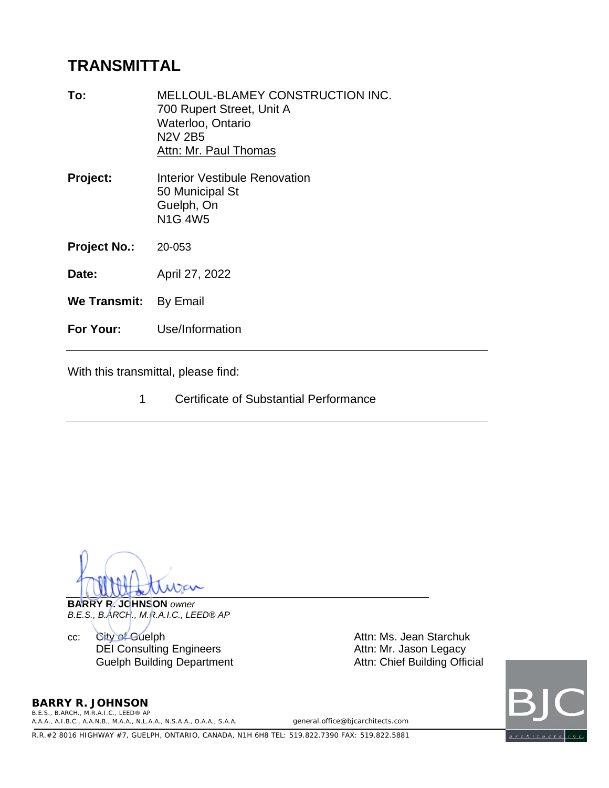# **TRANSMITTAL**

| To:                   | <b>MELLOUL-BLAMEY CONSTRUCTION INC.</b><br>700 Rupert Street, Unit A<br>Waterloo, Ontario<br><b>N2V 2B5</b><br>Attn: Mr. Paul Thomas |
|-----------------------|--------------------------------------------------------------------------------------------------------------------------------------|
| <b>Project:</b>       | <b>Interior Vestibule Renovation</b><br>50 Municipal St<br>Guelph, On<br><b>N1G 4W5</b>                                              |
| <b>Project No.:</b>   | 20-053                                                                                                                               |
| Date:                 | April 27, 2022                                                                                                                       |
| We Transmit: By Email |                                                                                                                                      |
| For Your:             | Use/Information                                                                                                                      |

With this transmittal, please find:

1 Certificate of Substantial Performance

**BARRY R. JOHNSON** *owner B.E.S., B.ARCH., M.R.A.I.C., LEED® AP*

cc: City of Guelph **Attn: Ms. Jean Starchuk** DEI Consulting Engineers<br>
Guelph Building Department<br>
Attn: Chief Building Official Guelph Building Department



**BARRY R. JOHNSON** *B.E.S., B.ARCH., M.R.A.I.C., LEED® AP*

*A.A.A., A.I.B.C., A.A.N.B., M.A.A., N.L.A.A., N.S.A.A., O.A.A., S.A.A. general.office@bjcarchitects.com*